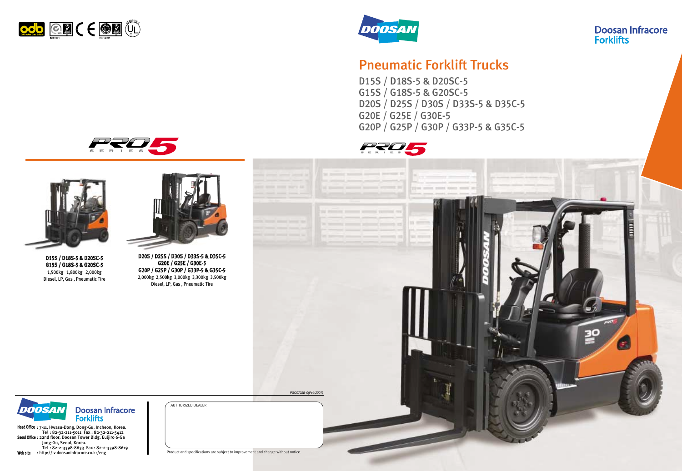# Pneumatic Forklift Trucks

D15S / D18S-5 & D20SC-5 G15S / G18S-5 & G20SC-5 D20S / D25S / D30S / D33S-5 & D35C-5 G20E / G25E / G30E-5 G20P / G25P / G30P / G33P-5 & G35C-5









AUTHORIZED DEALER

PSC0702B-0(Feb.2007)

## **Doosan Infracore Forklifts**



Product and specifications are subject to improvement and change without notice.



D15S / D18S-5 & D20SC-5 G15S / G18S-5 & G20SC-5 1,500kg 1,800kg 2,000kg Diesel, LP, Gas , Pneumatic Tire



D20S / D25S / D30S / D33S-5 & D35C-5 G20E / G25E / G30E-5 G20P / G25P / G30P / G33P-5 & G35C-5 2,000kg 2,500kg 3,000kg 3,300kg 3,500kg Diesel, LP, Gas , Pneumatic Tire

Doosan Infracore<br>Forklifts DOOSAN

Head Office: 7-11, Hwasu-Dong, Dong-Gu, Incheon, Korea. Tel : 82-32-211-5011 Fax : 82-32-211-5412 Seoul Office : 22nd floor, Doosan Tower Bldg, Euljiro 6-Ga Jung-Gu, Seoul, Korea. Tel : 82-2-3398-8633 Fax : 82-2-3398-8619 Web site : http://iv.doosaninfracore.co.kr/eng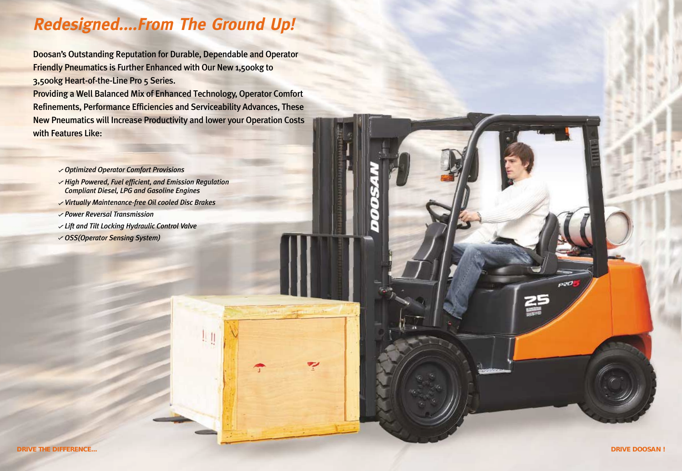Doosan's Outstanding Reputation for Durable, Dependable and Operator Friendly Pneumatics is Further Enhanced with Our New 1,500kg to 3,500kg Heart-of-the-Line Pro 5 Series.

Providing a Well Balanced Mix of Enhanced Technology, Operator Comfort Refinements, Performance Efficiencies and Serviceability Advances, These New Pneumatics will Increase Productivity and lower your Operation Costs with Features Like:

ج



# **Redesigned....From The Ground Up!**

- *Optimized Operator Comfort Provisions*
- **High Powered, Fuel efficient, and Emission Regulation** *Compliant Diesel, LPG and Gasoline Engines*
- *Virtually Maintenance-free Oil cooled Disc Brakes*
- *Power Reversal Transmission*
- *Lift and Tilt Locking Hydraulic Control Valve*
- *OSS(Operator Sensing System)*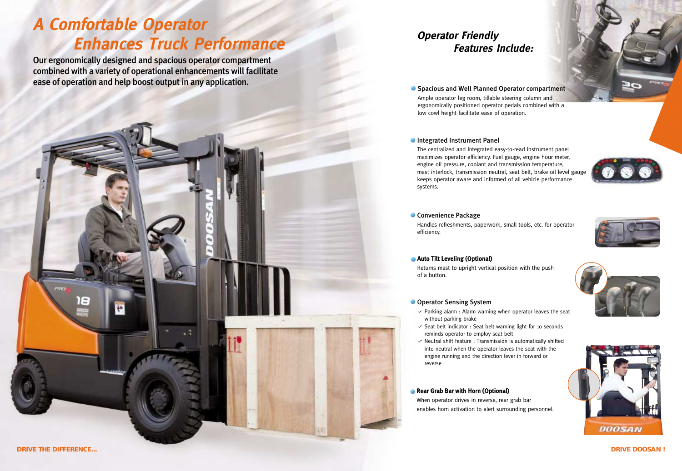*DRIVE DOOSAN !*

Spacious and Well Planned Operator compartment Ample operator leg room, tillable steering column and ergonomically positioned operator pedals combined with a low cowl height facilitate ease of operation.

## **Integrated Instrument Panel**

Handles refreshments, paperwork, small tools, etc. for operator efficiency.

## **Auto Tilt Leveling (Optional)**

The centralized and integrated easy-to-read instrument panel maximizes operator efficiency. Fuel gauge, engine hour meter, engine oil pressure, coolant and transmission temperature, mast interlock, transmission neutral, seat belt, brake oil level gauge keeps operator aware and informed of all vehicle performance systems.

## **Convenience Package**

- $\vee$  Parking alarm : Alarm warning when operator leaves the seat without parking brake
- $\checkmark$  Seat belt indicator : Seat belt warning light for 10 seconds reminds operator to employ seat belt
- $\vee$  Neutral shift feature : Transmission is automatically shifted into neutral when the operator leaves the seat with the engine running and the direction lever in forward or reverse

## **Rear Grab Bar with Horn (Optional)**

Returns mast to upright vertical position with the push of a button.

## **O** Operator Sensing System

When operator drives in reverse, rear grab bar enables horn activation to alert surrounding personnel.

# **Operator Friendly Features Include:**







Our ergonomically designed and spacious operator compartment combined with a variety of operational enhancements will facilitate ease of operation and help boost output in any application.



# **A Comfortable Operator Enhances Truck Performance**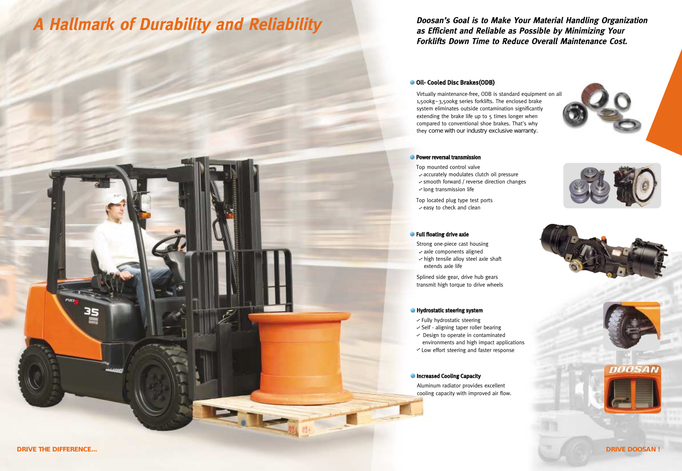35

## Oil- Cooled Disc Brakes(ODB)

Virtually maintenance-free, ODB is standard equipment on all 1,500kg~3,500kg series forklifts. The enclosed brake system eliminates outside contamination significantly extending the brake life up to 5 times longer when compared to conventional shoe brakes. That's why they come with our industry exclusive warranty.

### **Power reversal transmission**

- Top mounted control valve  $\sqrt{a}$  accurately modulates clutch oil pressure
- $\checkmark$  smooth forward / reverse direction changes
- $\checkmark$  long transmission life
- Top located plug type test ports  $\checkmark$  easy to check and clean

## **•** Full floating drive axle

## **Doosan's Goal is to Make Your Material Handling Organization as Efficient and Reliable as Possible by Minimizing Your Forklifts Down Time to Reduce Overall Maintenance Cost.**







- Strong one-piece cast housing
- $\sqrt{a}$  axle components aligned  $\vee$  high tensile alloy steel axle shaft extends axle life

Splined side gear, drive hub gears transmit high torque to drive wheels

### **Hydrostatic steering system**

- $\checkmark$  Fully hydrostatic steering
- $\checkmark$  Self aligning taper roller bearing
- $\vee$  Design to operate in contaminated
- environments and high impact applications
- $\checkmark$  Low effort steering and faster response

## **Increased Cooling Capacity**

 $\frac{1}{124}$ 

Aluminum radiator provides excellent cooling capacity with improved air flow.

# **A Hallmark of Durability and Reliability**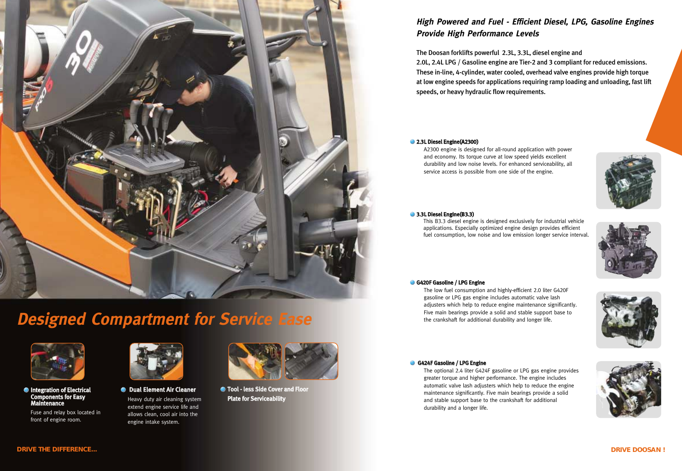





# **High Powered and Fuel - Efficient Diesel, LPG, Gasoline Engines Provide High Performance Levels**

The Doosan forklifts powerful 2.3L, 3.3L, diesel engine and 2.0L, 2.4L LPG / Gasoline engine are Tier-2 and 3 compliant for reduced emissions. These in-line, 4-cylinder, water cooled, overhead valve engines provide high torque at low engine speeds for applications requiring ramp loading and unloading, fast lift speeds, or heavy hydraulic flow requirements.

## **2.3L Diesel Engine(A2300)**

A2300 engine is designed for all-round application with power and economy. Its torque curve at low speed yields excellent durability and low noise levels. For enhanced serviceability, all service access is possible from one side of the engine.

## **3.3L Diesel Engine(B3.3)**

This B3.3 diesel engine is designed exclusively for industrial vehicle applications. Especially optimized engine design provides efficient fuel consumption, low noise and low emission longer service interval.

## G420F Gasoline / LPG Engine

**O** Dual Element Air Cleaner Heavy duty air cleaning system extend engine service life and allows clean, cool air into the engine intake system.

**Integration of Electrical** Components for Easy Maintenance

The optional 2.4 liter G424F gasoline or LPG gas engine provides greater torque and higher performance. The engine includes automatic valve lash adjusters which help to reduce the engine maintenance significantly. Five main bearings provide a solid and stable support base to the crankshaft for additional durability and a longer life.

The low fuel consumption and highly-efficient 2.0 liter G420F gasoline or LPG gas engine includes automatic valve lash adjusters which help to reduce engine maintenance significantly. Five main bearings provide a solid and stable support base to the crankshaft for additional durability and longer life.

## G424F Gasoline / LPG Engine

*DRIVE DOOSAN !*



Tool - less Side Cover and Floor Plate for Serviceability

Fuse and relay box located in front of engine room.





# **Designed Compartment for Service Ease**